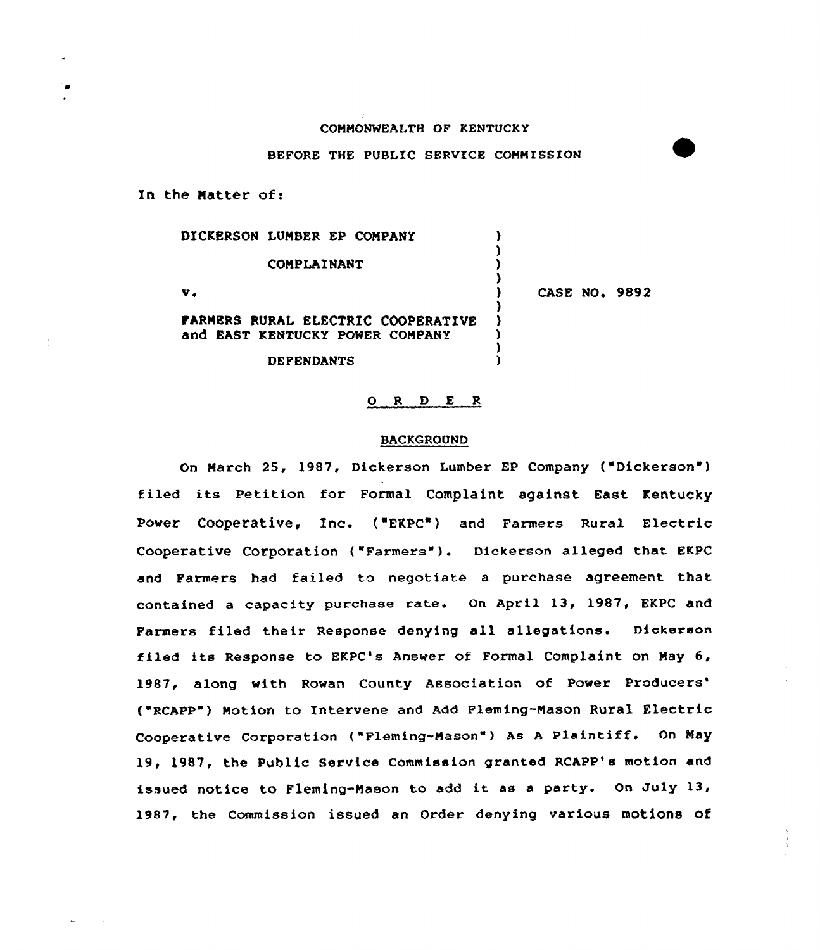#### COMMONWEALTH OF KENTUCKY

### BEFORE THE PUBLIC SERVICE COMMISSION

In the Natter of:

 $\mathbf{L} = (1, 1, 1)$  .

| DICKERSON LUMBER EP COMPANY                                                  |                      |
|------------------------------------------------------------------------------|----------------------|
| COMPLAINANT                                                                  |                      |
| v.                                                                           | <b>CASE NO. 9892</b> |
| <b>FARMERS RURAL ELECTRIC COOPERATIVE</b><br>and EAST KENTUCKY POWER COMPANY |                      |
| <b>DEFENDANTS</b>                                                            |                      |

## 0 <sup>R</sup> <sup>D</sup> E <sup>R</sup>

### BACKGROUND

On March 25, 1987, Dickerson Lumber EP Company ("Dickerson") filed its Petition for Formal Complaint against East Kentucky Power Cooperative, Inc. ('EKPC") and Farmers Rural Electric Cooperative Corporation ("Farmers" ). Dickerson alleged that EKpc and Farmers had failed to negotiate a purchase agreement that contained <sup>a</sup> capacity purchase rate. On April 13, 1987, EKPC and Farmers filed their Response denying all allegations. Dickerson tiled its Response to EKPC's Answer of Formal Complaint on May 6, 1987, along with Rowan County Association of Power Producers' ("RCAPP") Motion to Intervene and Add Fleming-Mason Rural Electric Cooperative Corporation ("Fleming-Mason") As A Plaintiff. On May 19, 1987, the Public Service Commission granted RCAPP's motion and issued notice to Fleming-Mason to add it as <sup>a</sup> party. On July 13, 1987, the Commission issued an Order denying various motions of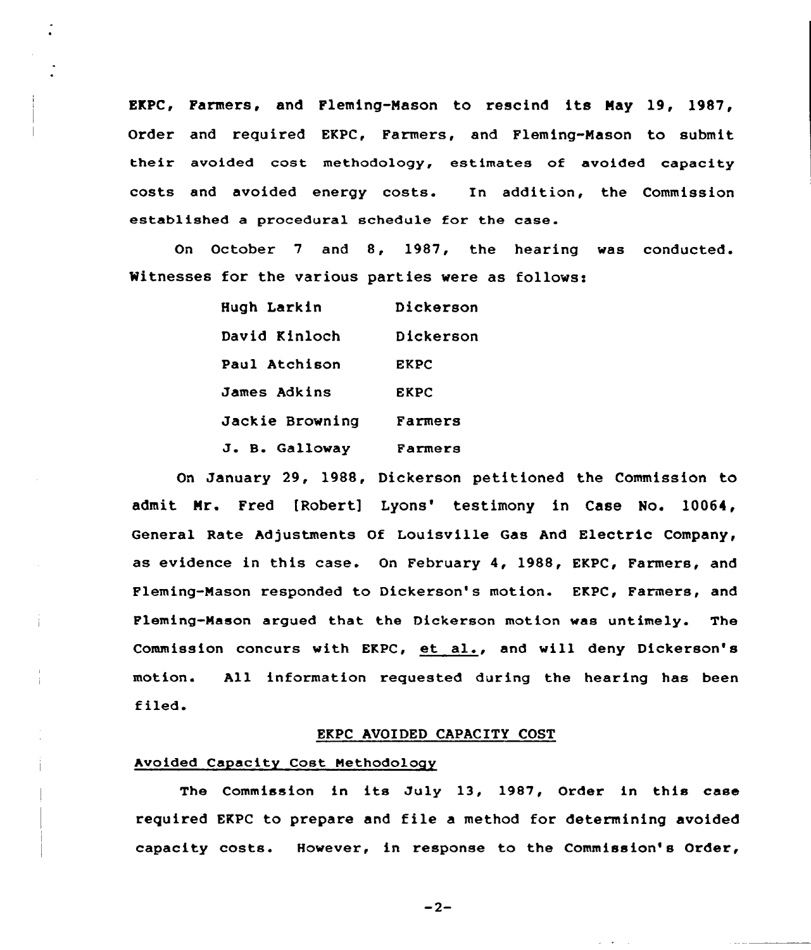EKPC, Farmers, and Fleming-Mason to rescind its May 19, 1987, Order and required EKPC, Farmers, and Fleming-Mason to submit their avoided cost methodology, estimates of avoided capacity costs and avoided energy costs. In addition, the Commission established a procedural schedule for the case.

On October <sup>7</sup> and 8, 1987, the hearing was conducted. Witnesses for the various parties were as follows:

| Hugh Larkin     | Dickerson   |
|-----------------|-------------|
| David Kinloch   | Dickerson   |
| Paul Atchison   | <b>EKPC</b> |
| James Adkins    | <b>EKPC</b> |
| Jackie Browning | Farmers     |
| J. B. Galloway  | Farmers     |

On January 29, 1988, Dickerson petitioned the Commission to admit Mr. Fred [Robert] Lyons' testimony in Case No. 10064, General Rate Adjustments Of Louisville Gas And Electric Company, as evidence in this case. On February 4, 1988, EKPC, Farmers, and Fleming-Mason responded to Dickerson's motion. EKPC, Farmers, and Fleming-Mason argued that the Dickerson motion was untimely. The Commission concurs with EKPC, et al., and will deny Dickerson's motion. All information requested during the hearing has been filed.

### EKPC AVOIDED CAPACITY COST

## Avoided Capacity Cost Methodology

The Commission in its July 13, 1987, Order in this case required EKPC to prepare and file <sup>a</sup> method for determining avoided capacity costs. However, in response to the Commission's Order,

 $-2-$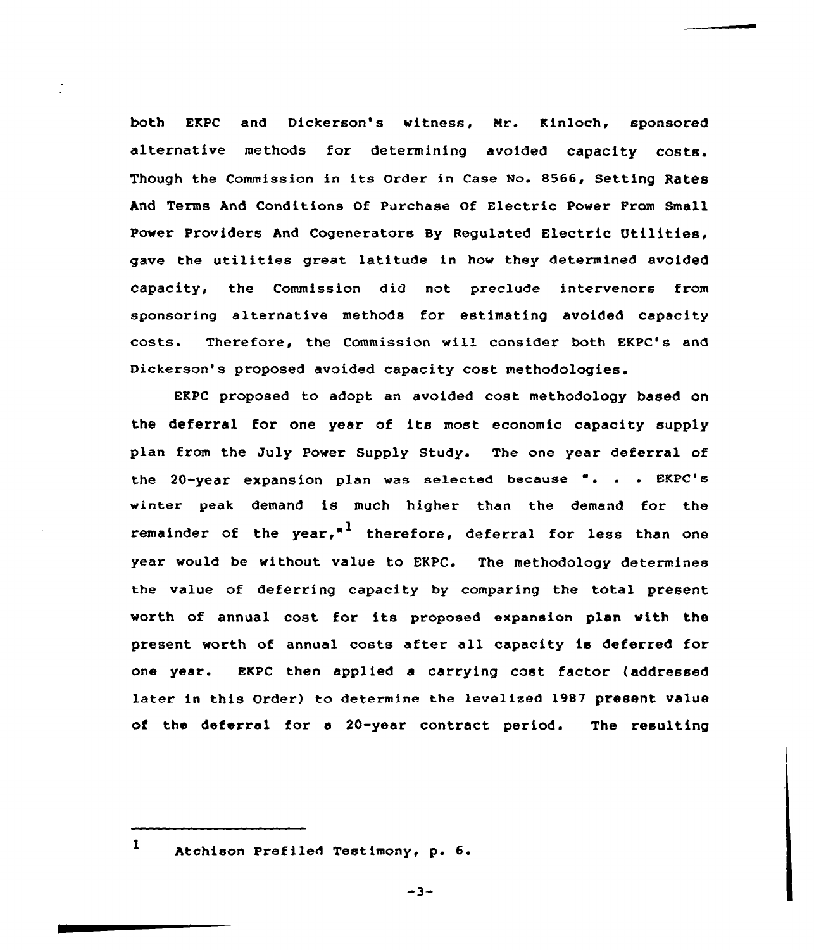both EKPC and Dickerson's witness, Nr. Kinloch, sponsored alternative methods for determining avoided capacity costs. Though the Commission in its Order in Case No. 8566, Setting Rates And Terms And Conditions of purchase of Electric power From small Power Providers And Cogenerators By Regulated Electric Utilities, gave the utilities great latitude in how they determined avoided capacity, the Commission did not preclude intervenors from sponsoring alternative methods for estimating avoided capacity costs. Therefore, the Commission wil'onsider both EKPC's and Dickerson's proposed avoided capacity cost methodologies.

EKPC proposed to adopt an avoided cost methodology based on the deferral for one year of its most economic capacity supply plan from the July Power Supply Study. The one year deferral of the 20-year expansion plan was selected because ". . . EKPC's winter peak demand is much higher than the demand for the remainder of the year,<sup>"1</sup> therefore, deferral for less than one year would be without value to EKPC. The methodology determines the value of deferring capacity by comparing the total present worth of annual cost for its proposed expansion plan with the present worth of annual costs after all capacity is deferred for one year. EKPC then applied a carrying cost factor (addressed later in this Order) to determine the levelized 1987 present value of the deferral for a 20-year contract period. The resulting

 $-3-$ 

 $1$  Atchison Prefiled Testimony, p. 6.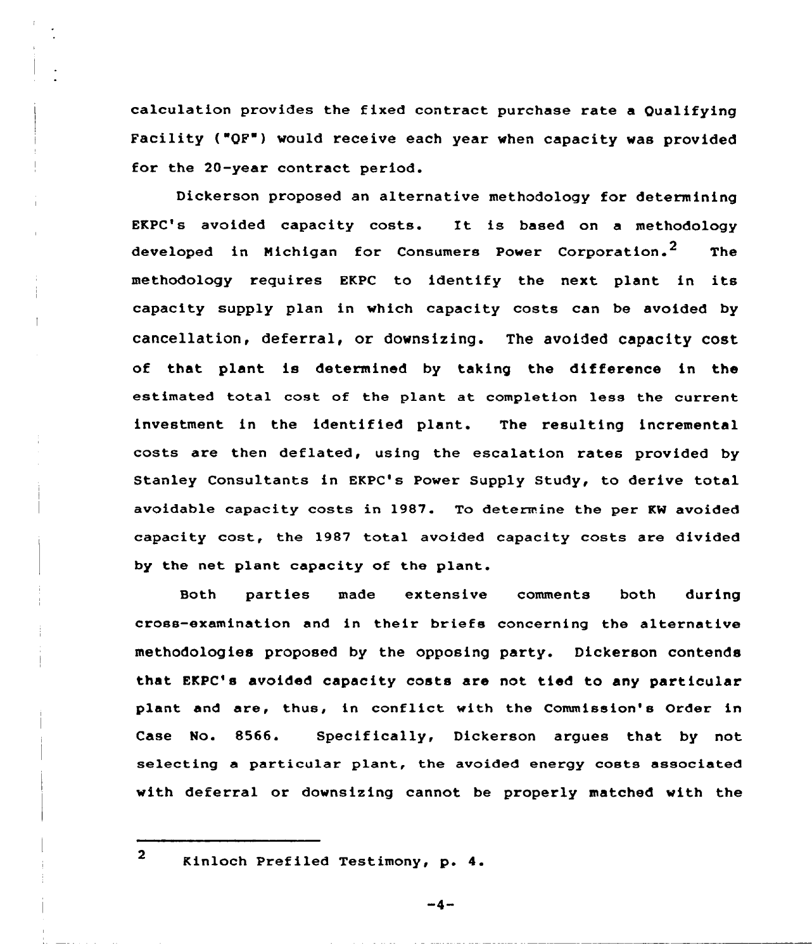calculation provides the fixed contract purchase rate a Qualifying Facility ("QF") would receive each year when capacity was provided for the 20-year contract period.

Dickerson proposed an alternative methodology for determining EKPC's avoided capacity costs. It is based on <sup>a</sup> methodology developed in Michigan for Consumers Power Corporation.<sup>2</sup> The methodology requires EKPC to identify the next plant in its capacity supply plan in which capacity costs can be avoided by cancellation, deferral, or downsizing. The avoided capacity cost of that plant is determined by taking the difference in the estimated total cost of the plant at completion less the current investment in the identified plant. The resulting incremental costs are then deflated, using the escalation rates provided by Stanley Consultants in EKPC's Power Supply Study, to derive total avoidable capacity costs in 1987. To determine the per KW avoided capacity cost, the 1987 total avoided capacity costs are divided by the net plant capacity of the plant.

Both parties made extensive comments both during cross-examination and in their briefs concerning the alternative methodologies proposed by the opposing party. Dickerson contends that EKPC's avoided capacity costs are not tied to any particular plant and are, thus, in conflict with the Commission's Order in Case No. 8566. Specifically, Dickerson argues that by not selecting a particular plant, the avoided energy costs associated with deferral or downsizing cannot be properly matched with the

<sup>2</sup> Kinloch Prefiled Testimony, p. 4.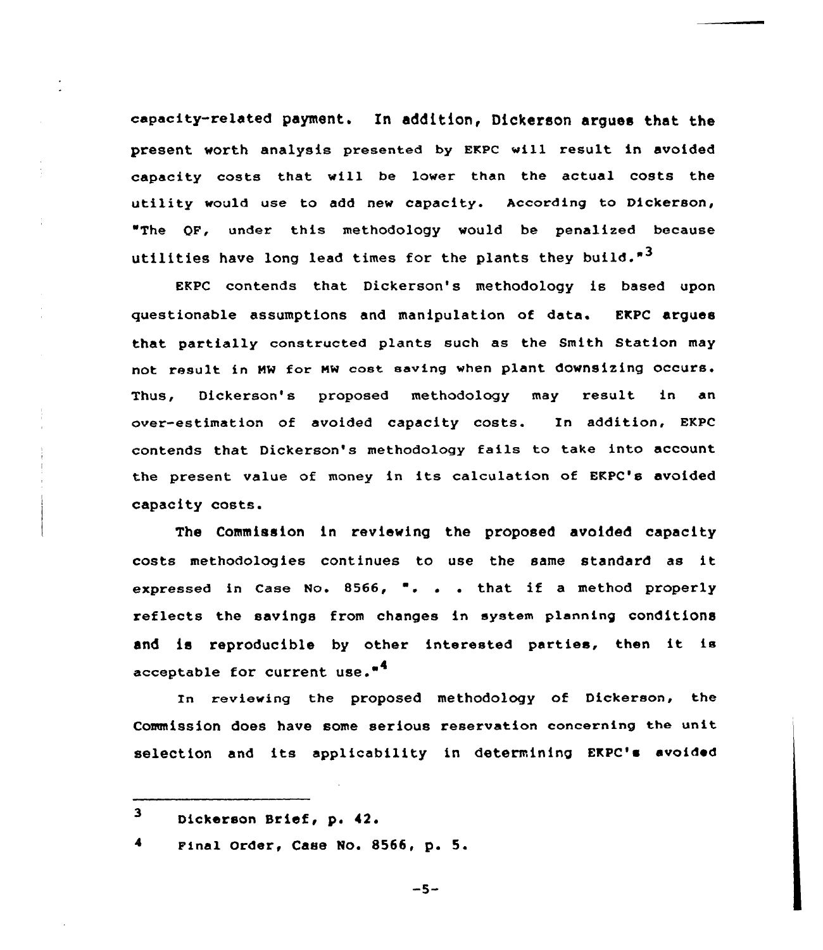capacity-related payment. In addition< Dickerson argues that the present worth analysis presented by EKPC will result in avoided capacity costs that will be lower than the actual costs the utility would use to add new capacity. According to Dickerson, "The OF, under this methodology would be penalized because utilities have long lead times for the plants they build."3

EKPC contends that Dickerson's methodology is based upon questionable assumptions and manipulation of data. EKPC argues that partially canstructed plants such as the Smith Station may not result in NM for HM east saving when plant downsizing occurs. Thus, Dickerson's proposed methodology may result in an over-estimation of avoided capacity costs. Xn addition, EKPC contends that Dickerson's methodology fails to take into account the present value of money in its calculation of EKPC's avoided capacity costs.

The Commission in reviewing the proposed avoided capacity costs methadalagies continues to use the same standard as it expressed in Case No. 8566, ". . . that if a method properly reflects the savings from changes in system planning conditionS and is reproducible by other interested parties, then it is acceptable for current use."<sup>4</sup>

In reviewing the proposed methodology of Dickerson, the commission does have some serious reservation concerning the unit selection and its applicability in determining EKPC's avoided

 $-5-$ 

<sup>3</sup> Dickerson Brief, p. 42.

<sup>4</sup> Final Order, Case No. 8566, p. 5.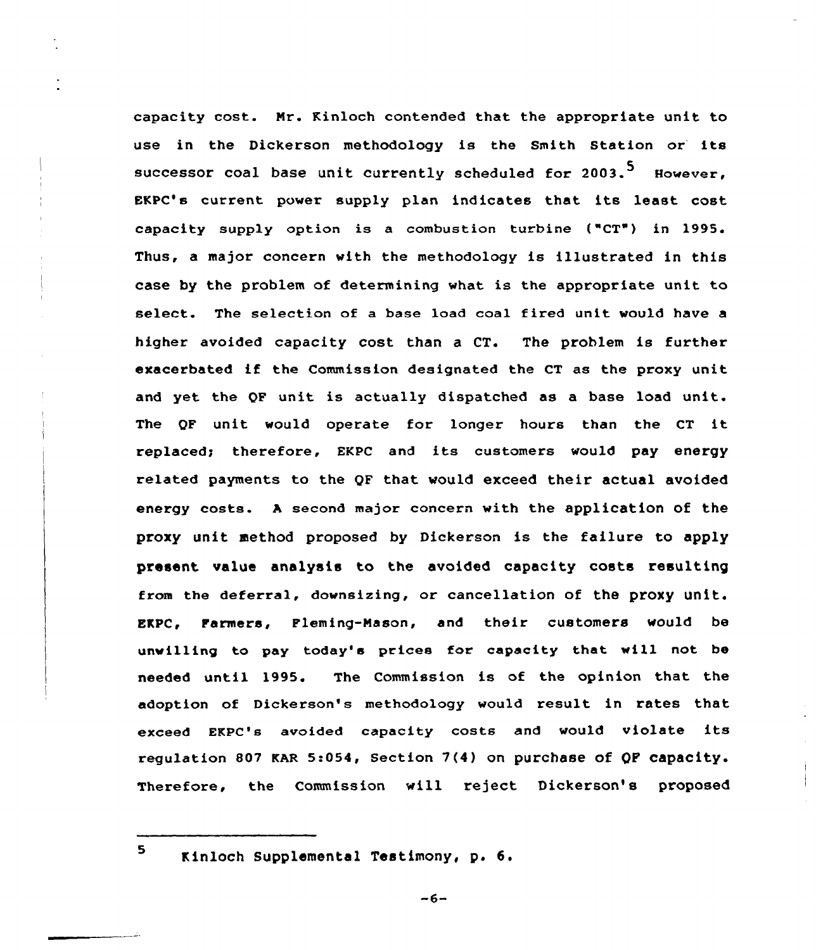capacity cost. Nr. Kinlach contended that the appropriate unit to use in the Dickerson methodology is the Smith Station or its successor coal base unit currently scheduled for 2003.<sup>5</sup> However. EKPC's current power supply plan indicates that its least cost capacity supply option is a combustion turbine ("CT") in 1995. Thus, a major concern with the methodology is illustrated in this case by the problem of determining what is the appropriate unit to select. The selectian of a base load coal fired unit would have a higher avoided capacity cost than a CT. The problem is further exacerbated if the Commissian designated the CT as the proxy unit and yet the QF unit is actually dispatched as a base load unit. The QF unit would operate for longer hours than the CT it replaced; therefore, EKPC and its customers would pay energy related payments to the QF that would exceed their actual avoided energy costs. <sup>A</sup> second major concern with the application of the proxy unit method proposed by Dickerson is the failure to apply present value analysis to the avoided capacity costs resulting from the deferral, downsizing, ar cancellation of the proxy unit. EKPC, Farmers, Fleming-Nason, and their customers would be unwilling to pay today's prices for capacity that will not be needed until 1995. The Commission is of the opinion that the adoption of Dickerson's methodolagy would result in rates that exceed EKPC's avoided capacity casts and would violate its regulation 807 KAR 5:054, Section 7(4) on purchase of QP capacity. Therefore, the Commission will reject Dickerson's proposed

<sup>5</sup> Kinloch Supplemental Testimony, p. 6.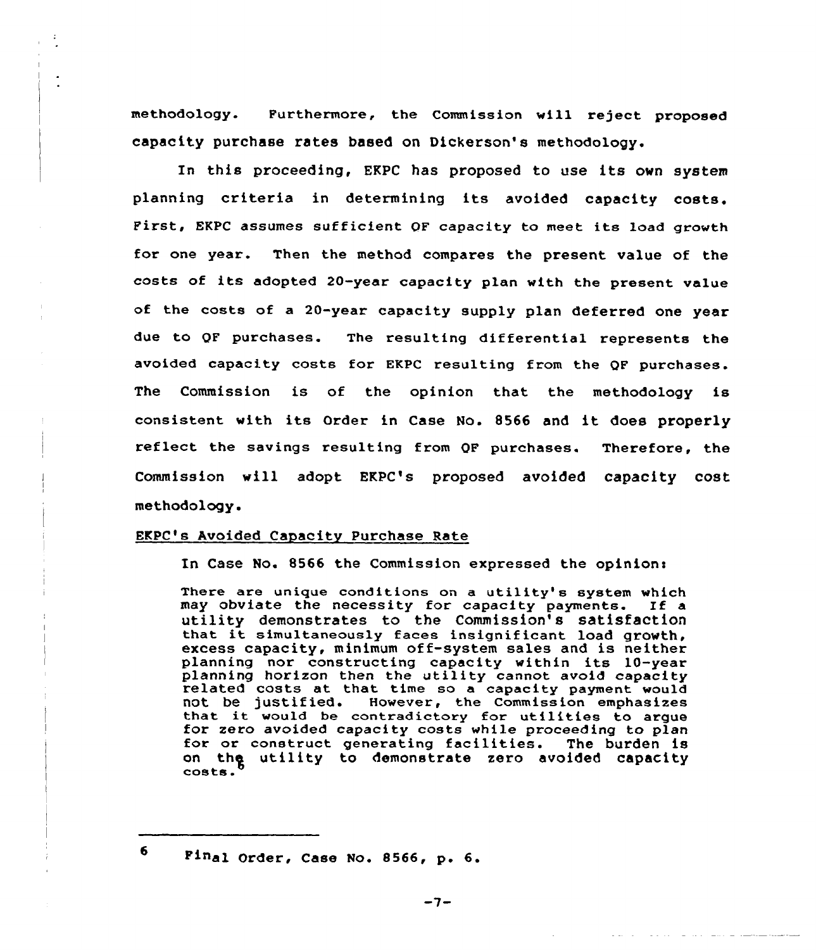methodology. Furthermore, the Commission will reject proposed capacity purchase rates based on Dickerson's methodology.

In this proceeding, EKPC has proposed to use its own system planning criteria in determining its avoided capacity costs. First, EKPC assumes sufficient OF capacity to meet its load growth for one year. Then the method compares the present value of the costs of its adopted 20-year capacity plan with the present value of the costs of a 20-year capacity supply plan deferred one year due to QF purchases. The resulting differential represents the avoided capacity costs for EKPC resulting from the QF purchases. The Commission is of the opinion that the methodology is consistent with its Order in Case No. <sup>8566</sup> and it does properly reflect the savings resulting from QF purchases. Therefore, the Commission will adopt EKPC's proposed avoided capacity cost methodology.

# EKPC's Avoided Capacity Purchase Rate

In Case No. 8566 the Commission expressed the opinions

There are unique conditions on <sup>a</sup> utility's system which may obviate the necessity for capacity payments. If a utility demonstrates to the Commission's satisfaction that it simultaneously faces insignif icant load growth, excess capacity, minimum off-system sales and is neither planning nor constructing capacity within its 10-year planning horizon then the utility cannot avoid capacity related costs at that time so <sup>a</sup> capacity payment would not be justified. However, the Commission emphasizes<br>that it would be contradictory for utilities to argue<br>for zero avoided capacity costs while proceeding to plan<br>for or construct generating facilities. The burden is for or construct generating facilities. The burden is<br>on the utility to demonstrate zero avoided capacity<br>costs.

<sup>6</sup> Final Order, Case No. 8566, p. 6.

 $-7-$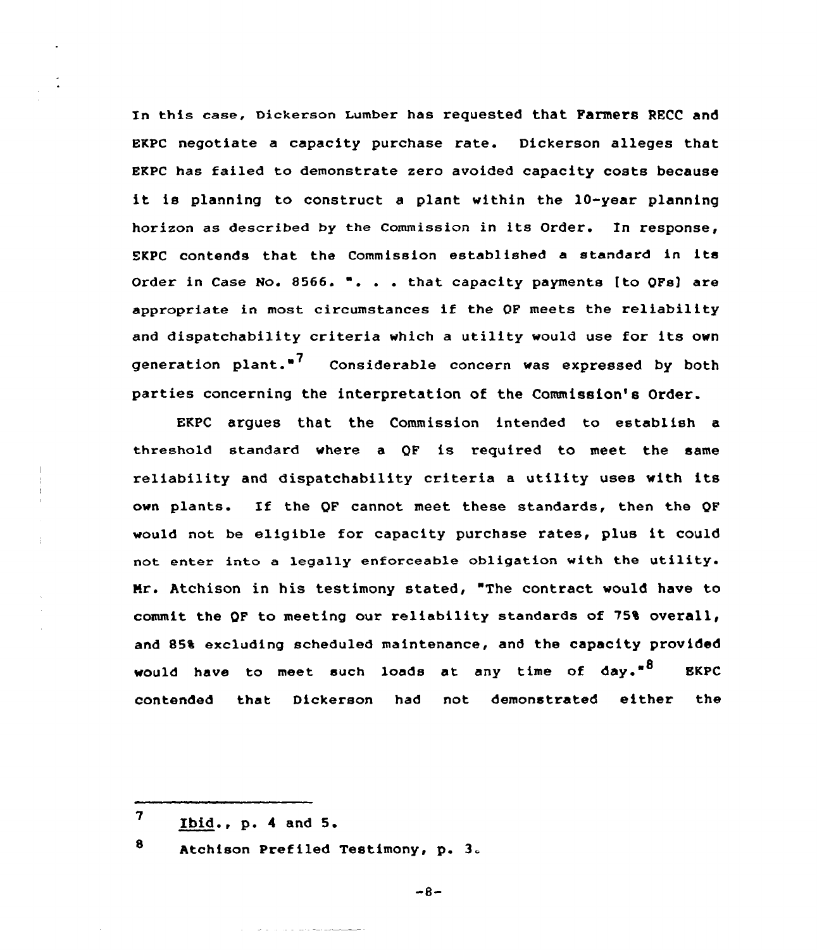In this case, Dickerson Lumber has requested that Farmers RECC and BKPC negotiate a capacity purchase rate. Dickerson alleges that EKpc has failed to demonstrate zero avoided capacity costs because it is planning to construct <sup>a</sup> plant within the 10-year planning horizon as described by the Commission in its Order. In response, SKPC contends that the Commission established <sup>a</sup> standard in its Order in Case No. 8566. ". . . that capacity payments [to QFs) are appropriate in most circumstances if the QF meets the reliability and dispatchability criteria which <sup>a</sup> utility would use for its own generation plant.<sup>"7</sup> Considerable concern was expressed by both parties concerning the interpretation of the Commission's Order.

EKPC argues that the Commission intended to establish a threshold standard where a QF is required to meet the same reliability and dispatchability criteria <sup>a</sup> utility uses with its own plants. If the QF cannot meet these standards, then the QF would not be eligible for capacity purchase rates, plus it could not enter into <sup>a</sup> legally enforceable obligation with the utility. Nr. Atchison in his testimony stated, The contract would have to commit the QF to meeting our reliability standards of 75% overall, and 85% excluding scheduled maintenance, and the capacity provided would have to meet such loads at any time of day."<sup>8</sup> EKPC contended that Dickerson had not demonstrated either the

8 Atchison Prefiled Testimony, p. 3.

فستستعد فستحدث والمداري والمحارب

 $-8-$ 

 $7$  Ibid., p. 4 and 5.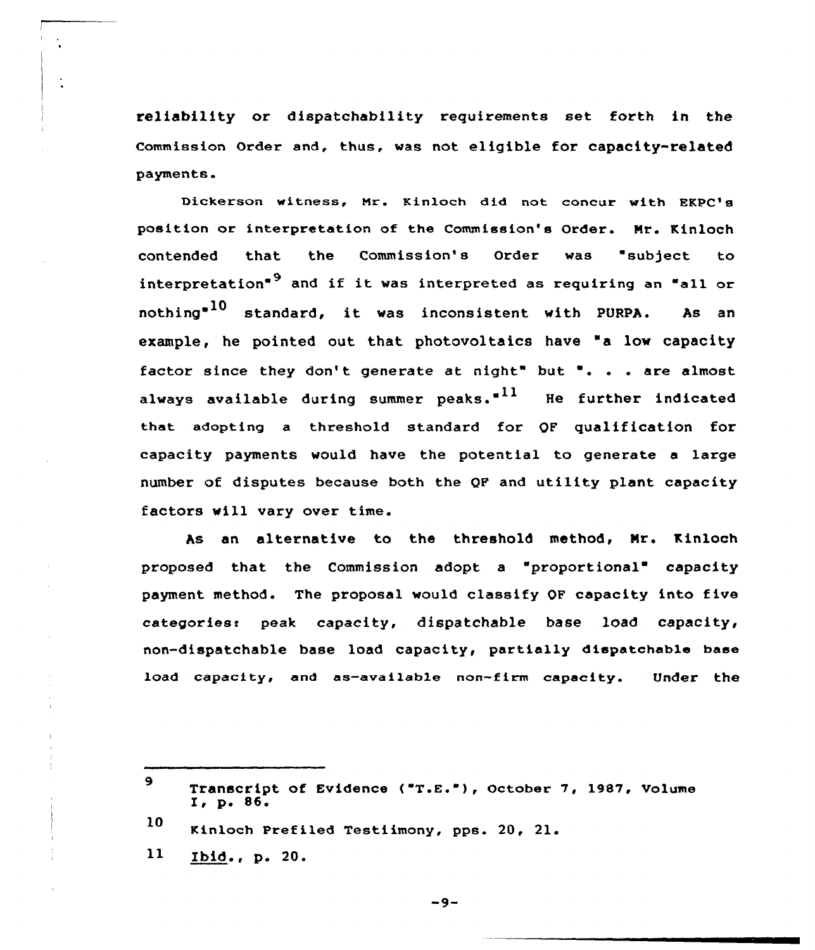reliability or dispatchability requirements set forth in the commission order and, thus, was not eligible for capacity-related payments.

Dickerson witness, Mr. Kinloch did not concur with EKPC's position or interpretation of the Commission's Order. Mr. Kinloch contended that the Commission's Order was "subject to interpretation"<sup>9</sup> and if it was interpreted as requiring an "all or nothing $^{\text{\texttt{a}} 10}$  standard, it was inconsistent with PURPA. As an example, he pointed out that photovoltaics have "a low capacity factor since they don't generate at night" but ". . . are almost always available during summer peaks. $"^{11}$  He further indicated that adopting a threshold standard for OF qualification for payments would have the potential to generate a large number of disputes because both the QF and utility plant capacity factors will vary over time.

As an alternative to the threshold method, Mr. Kinloch proposed that the Commission adopt a "proportional" capacity payment method. The proposal would classify OF capacity into five categories: peak capacity, dispatchable base load capacity, non-dispatchable base load capacity, partially dispatchable base load capacity, and as-available non-firm capacity. Under the

11 Ibid., p. 20.

 $-9-$ 

 $\mathbf{9}$ Transcript of Evidence ("T.E."), October 7, 1987, Volume I, p. 86.

<sup>10</sup> Kinloch Prefiled Testiimony, pps. 20, 21.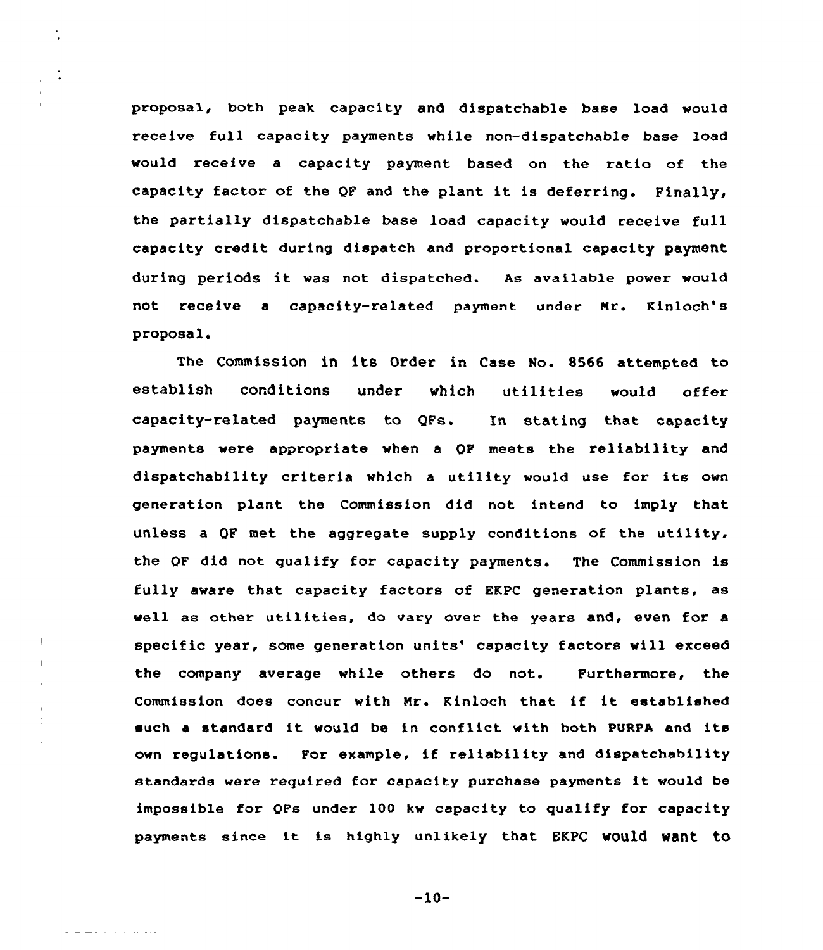proposal, both peak capacity and dispatchable base load would receive full capacity payments while non-dispatchable base load would receive a capacity payment based on the ratio of the capacity factor of the QF and the plant it is deferring. Finally, the partially dispatchable base load capacity would receive full capacity credit during dispatch and proportional capacity payment during periods it was not dispatched. As available power would not receive a capacity-related payment under Nr. Kinloch's proposal.

The Commission in its Order in Case No. 8566 attempted to establish conditions under which utilities would offer capacity-related payments to QFs. In stating that capacity payments were appropriate when a QF meets the reliability and dispatchability criteria which a utility would use for its own generation plant the Commission did not intend to imply that unless a QP met the aggregate supply conditions of the utility, the QF did not qualify for capacity payments. The Commission is fully aware that capacity factors of EKPC generation plants, as well as other utilities, do vary over the years and, even for <sup>a</sup> specific year, some generation units' capacity factors will exceed the company average while others do not. Furthermore, the Commission does concur with Mr. Kinloch that if it established such a standard it would be in conflict with both PURPA and its own regulations. For example, if reliability and dispatchability standards were required for capacity purchase payments it wou1d be impossible for QFs under 100 kw capacity to qualify for capacity payments since it is highly unlikely that EKPC would want to

 $\mathbb{L}$ 

 $-10-$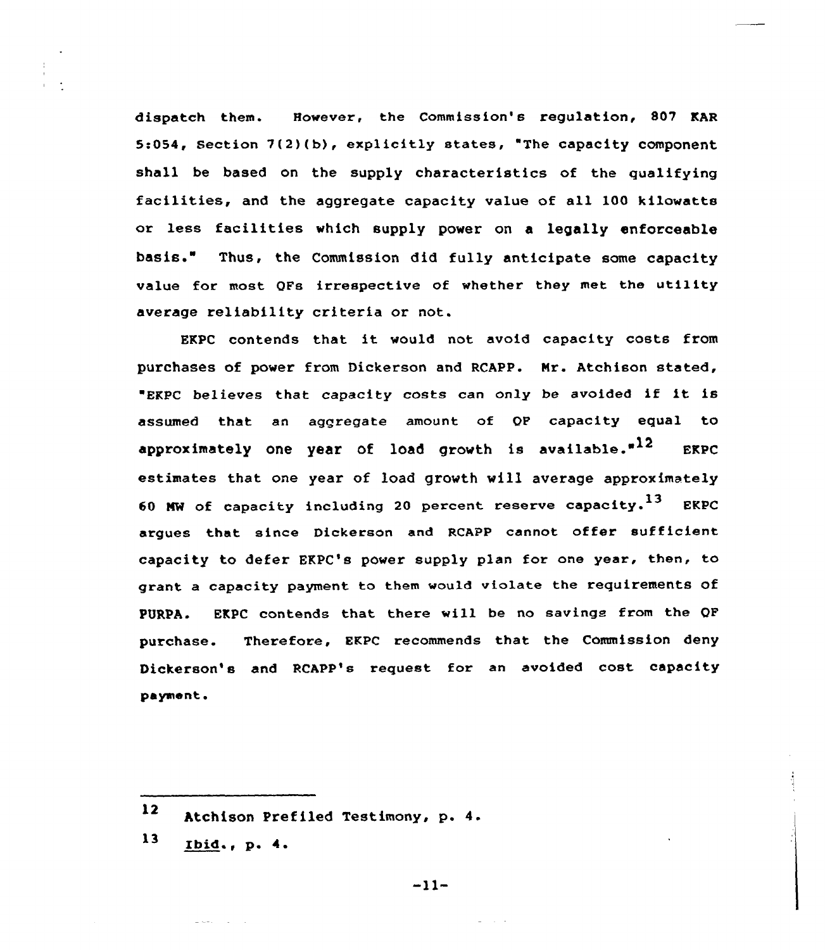dispatch them. However, the Commission's regulation, 807 KAR 5:054, section 7(2)(b), explicitly states, "The capacity component shall be based on the supply characteristics of the qualifying facilities, and the aggregate capacity value of all 100 kilowatts or less facilities which supply power on <sup>a</sup> legally enforceable basis." Thus, the Commission did fully anticipate some capacity value for most QFs irrespective of whether they met the utility average reliability criteria or not.

EKPC contends that it would not avoid capacity costs from purchases of power from Dickerson and RCAPP. Nr. Atchison stated, ERPC believes that capacity costs can only be avoided if it is assumed that an aggregate amount of QF capacity equal to approximately one year of load growth is available. $n^{12}$  EKPC estimates that one year of 1oad growth will average approximately 60 MW of capacity including 20 percent reserve capacity.<sup>13</sup> EKPC argues that since Dickerson and RCAPP cannot offer sufficient capacity to defer EKPC's power supply plan for one year, then, to grant a capacity payment to them would violate the requirements of PURPA. EKPC contends that there will be no savings from the QF purchase. Therefore, EKPC recommends that the Commission deny Dickerson's and RCAPP's request for an avoided cost capacity payment.

 $\sim 10^{-10}$  m

 $-11-$ 

<sup>12</sup> Atchison Prefiled Testimony, p. 4.

<sup>13</sup> Ibid., p. <sup>4</sup>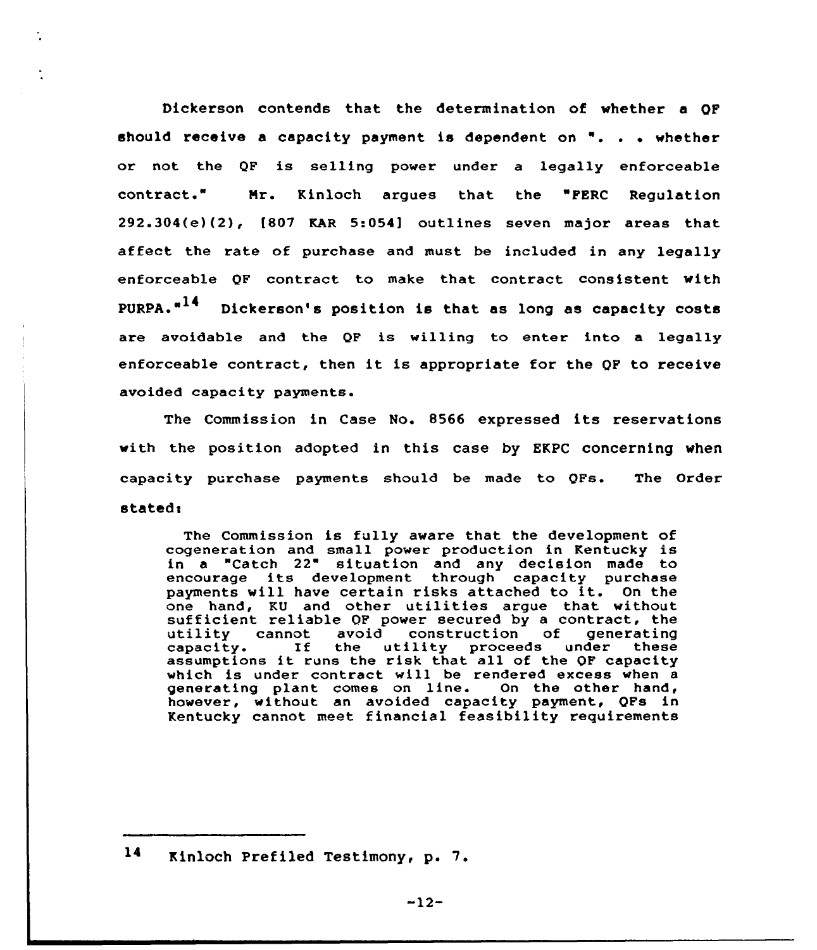Dickerson contends that the determination of whether a QP should receive a capacity payment is dependent on  $"$ . . . whether or not the QF is selling power under a legally enforceable contract." Mr. Kinloch argues that the "FERC Regulation 292.304(e)(2), [807 KAR 5:054] outlines seven major areas that affect the rate of purchase and must be included in any legally enforceable QF contract to make that contract consistent with  $PURPA.$  $A^{14}$  Dickerson's position is that as long as capacity costs are avoidable and the QF is willing to enter into a legally enforceable contract, then it is appropriate for the QP to receive avoided capacity payments.

The Commission in Case No. 8566 expressed its reservations with the position adopted in this case by EKPC concerning when capacity purchase payments should be made to QFs. The Order stated:

The Commission is fully aware that the development of cogeneration and small power production in Kentucky is in a "Catch 22" situation and any decision made to encourage its development through capacity purchase payments will have certain risks attached to it. On the<br>one hand, KU and other utilities arque that without sufficient reliable OF power secured by a contract, the utility cannot avoid construction of generating capacity. the utility proceeds assumptions it runs the risk that all of the OF capacity which is under contract will be rendered excess when <sup>a</sup> generating plant comes on line. On the other hand, however, without an avoided capacity payment, QFs in Kentucky cannot meet financial feasibility requirements

l4 Kinloch Prefiled Testimony, p. 7.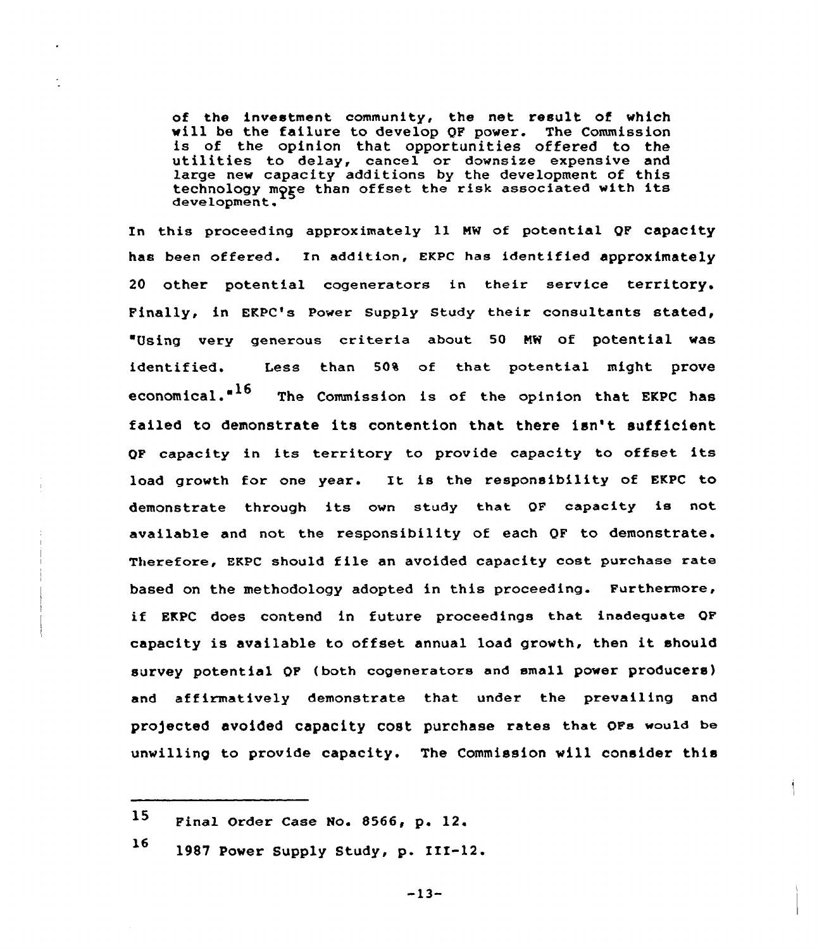of the investment community, the net result of which<br>will be the failure to develop OF power. The Commission is of the opinion that opportunities offered to the utilities to delay, cancel or downsize expensive and large new capacity additions by the development of this technology more than offset the risk associated with its development.

In this proceeding approximately ll MW of potential QF capacity has been offered. In addition, EKPC has identified approximately 20 other potential cogenerators in their service territory. Finally, in EKPC's Power Supply Study their consultants stated, Using very generous criteria about SO NW of potential was identified. Less than 50% of that potential might prove economical. $16$  The Commission is of the opinion that EKPC has failed to demonstrate its contention that there isn't sufficient QF capacity in its territory to provide capacity to offset its load growth for one year. It is the responsibility of EKPC to demonstrate through its own study that OF capacity is not available and not the responsibility of each QF to demonstrate. Therefore, EKPC should file an avoided capacity cost purchase rate based on the methodology adopted in this proceeding. Furthermore, if EKPC does contend in future proceedings that inadequate OF capacity is available to offset annual load growth, then it should survey potential QF ( both cogenerators and small power producers) and affirmatively demonstrate that under the prevailing and pro)ected avoided capacity cost purchase rates that oFs would be unwilling to provide capacity. The Commission will consider this

l6 <sup>1987</sup> Power Supply Study, p. III-12.

 $-13-$ 

<sup>15</sup> Final Order Case No. 8566, p. 12.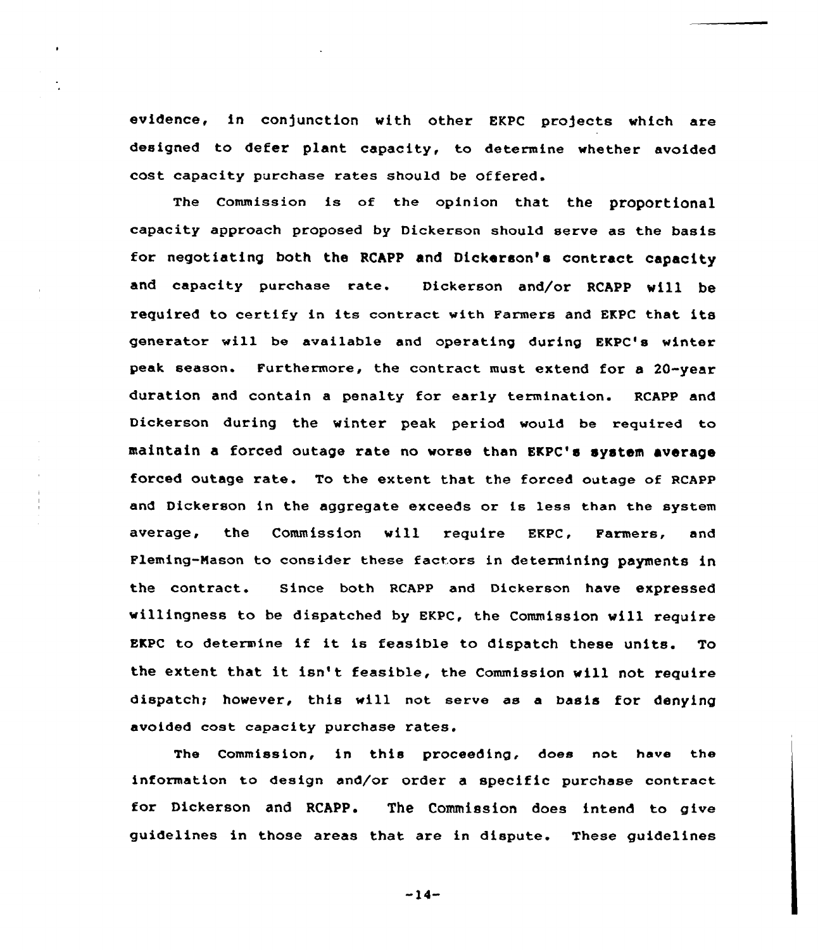evidence, in conjunction with other EKPC projects which are designed to defer plant capacity, to determine whether avoided cost capacity purchase rates should be offered.

The Commission is of the opinion that the proportional capacity approach proposed by Dickerson should serve as the basis for negotiating both the RCAPP and Dickerson's contract capacity and capacity purchase rate. Dickerson and/or RCAPP will be required to certify in its contract with Farmers and EKPC that its generator will be available and operating during EKPC's winter peak season. Furthermore, the contract must extend for a 20-year duration and contain a penalty for early termination. RCAPP and Dickerson during the winter peak period would be required to maintain a forced outage rate no worse than EKPC's system average forced outage rate. To the extent that the forced outage of RCAPP and Dickerson in the aggregate exceeds or is less than the system average, the Commission will require EKpc, Farmers, and Fleming-Nason to consider these factors in determining payments in the contract. Since both RCAPP and Dickerson have expressed willingness to be dispatched by EKPC, the Commission will require EKPC to determine if it is feasible to dispatch these units. To the extent that it isn't feasible, the Commission will not require dispatch; however, this will not serve as a basis for denying avoided cost capacity purchase rates.

The Commission, in this proceeding, does not have the information to design and/or order a specific purchase contract. for Dickerson and RCAPP. The Commission does intend to give guidelines in those areas that are in dispute. These guidelines

 $-14-$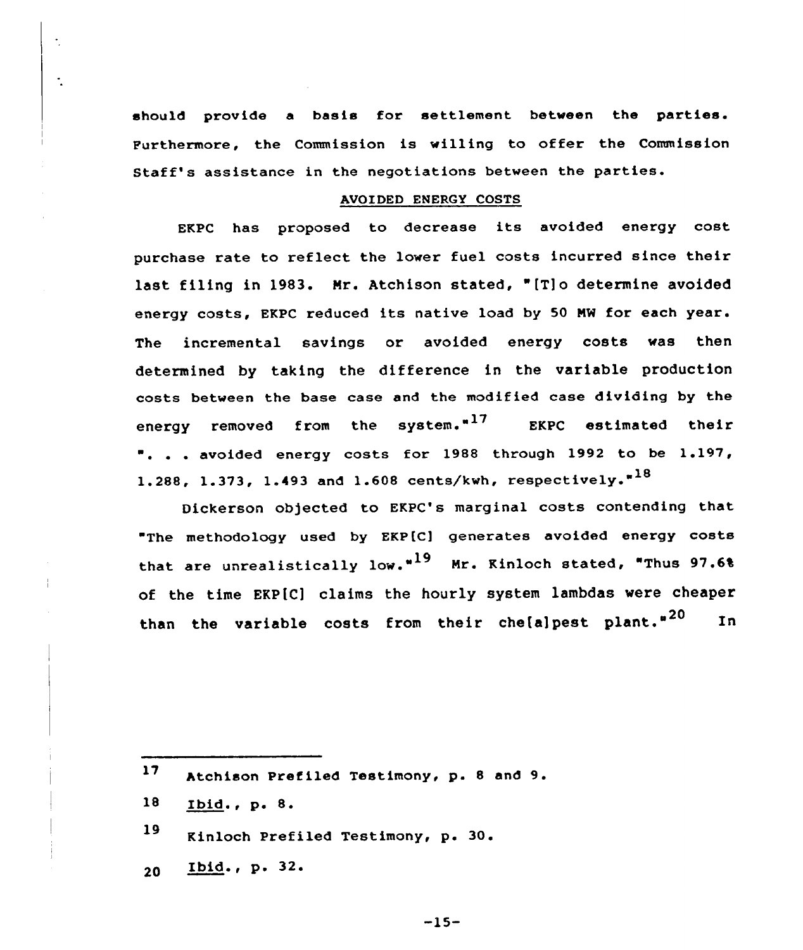should provide a basis for settlement between the parties. Furthermore, the Commission is willing to offer the Commission Staff's assistance in the negotiations between the parties.

#### AVOIDED ENERGY COSTS

EKPC has proposed to decrease its avoided energy cost purchase rate to reflect the lower fuel costs incurred since their last filing in 1983. Mr. Atchison stated, "[T]o determine avoided energy costs, EKPC reduced its native load by <sup>50</sup> NM for each year. The incremental savings or avoided energy costs was then determined by taking the difference in the variable production costs between the base case and the modified case dividing by the energy removed from the system. $n^{17}$ EKPC estimated their ". . . avoided energy costs for 1988 through 1992 to be 1.197, 1.288, 1.373, 1.493 and 1.608 cents/kwh, respectively.<sup> $18$ </sup>

Dickerson objected to EKPC's marginal costs contending that "The methodology used by EKP[C] generates avoided energy costs that are unrealistically low."<sup>19</sup> Mr. Kinloch stated, "Thus 97.6% of the time EKP[C] claims the hourly system lambdas were cheaper than the variable costs from their che[a]pest plant."<sup>20</sup> In

 $\ddot{\cdot}$ 

 $17$ Atchison Prefiled Testimony, p. 8 and 9.

<sup>18</sup> Ibid., p. 8.

<sup>19</sup> Kinloch Prefiled Testimony, p. 30.<br>20 <u>Ibid</u>., p. 32.<br>-15-

<sup>20</sup>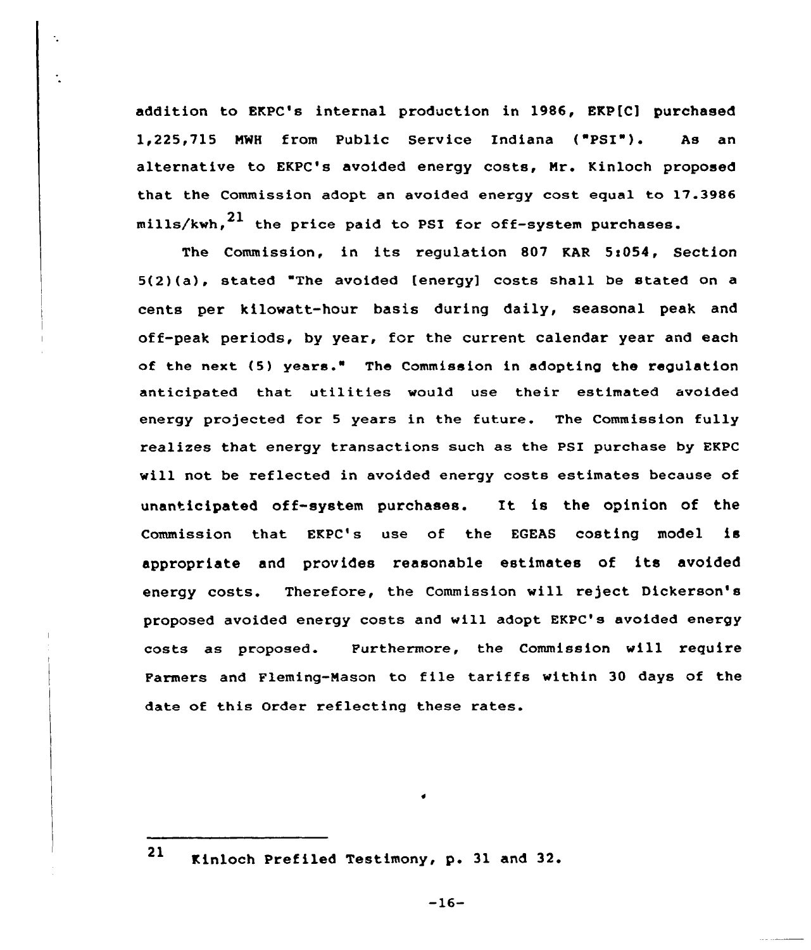addition to EKPC's internal production in 1986, EKP[C] purchased 1,225,715 NWH from Public Service Indiana ( PSI"). As an alternative to EKPC's avaided energy costs, Nr. Kinloch proposed that the Commission adopt an avoided energy cost equal to 17.3986 mills/kwh. $^{21}$  the price paid to PSI for off-system purchases.

The Commission, in its regulation 807 KAR 5:054, Section 5(2)(a), stated The avoided [energy] costs shall be stated on a cents per kilawatt-hour basis during daily, seasonal peak and off-peak periods, by year, for the current calendar year and each of the next (5) years." The Commission in adopting the regulation anticipated that utilities would use their estimated avoided energy projected for <sup>5</sup> years in the future. The Commission fully realizes that energy transactions such as the PSI purchase by EKPC will not be reflected in avoided energy costs estimates because of unanticipated off-system purchases. It is the opinion of the Commission that EKPC's use of the EGEAS costing model is appropriate and provides reasonable estimates of its avoided energy costs. Therefore, the Commissian will reject Dickerson's proposed avoided energy costs and will adopt EKPC's avoided energy costs as proposed. Furthermore, the Commission will require Parmers and Fleming-Nasan to file tariffs within 30 days of the date of this Order reflecting these rates.

<sup>21</sup> Kinloch Prefiled Testimony, p. 31 and 32.

-16-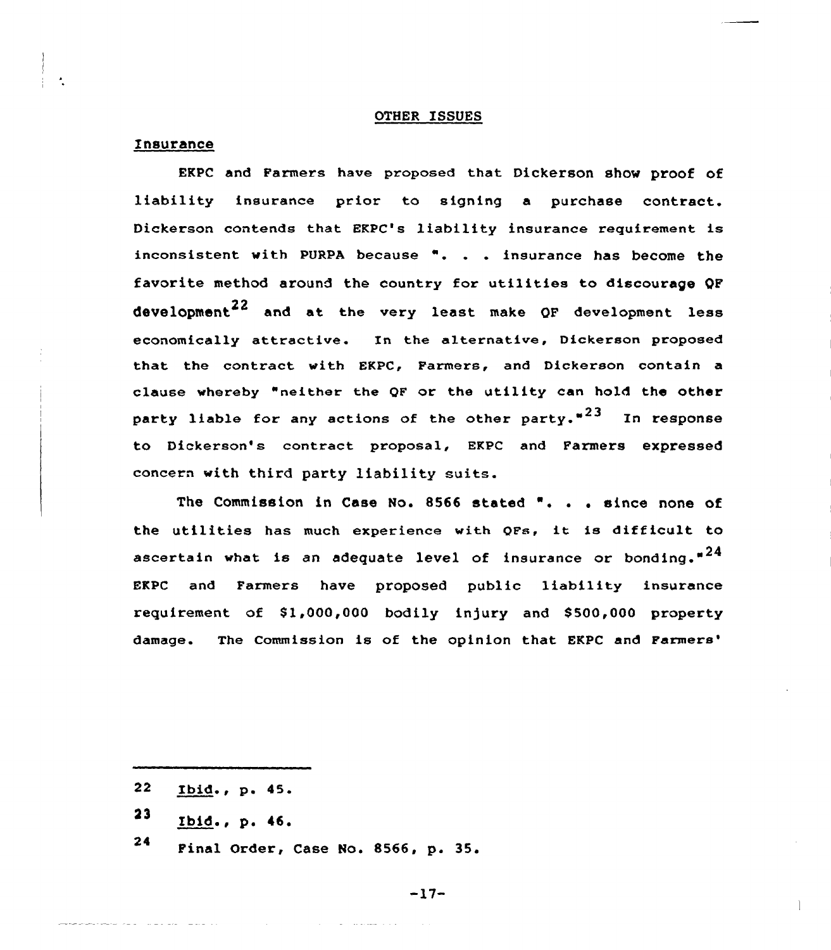### OTHER ISSUES

## Insurance

EKPC and Farmers have proposed that Dickerson show proof of liability insurance prior to signing <sup>a</sup> purchase contract. Dickerson contends that EKPC's liability insurance requirement is inconsistent with PURPA because ". . . insurance has become the favorite method around the country for utilities to discourage QF development<sup>22</sup> and at the very least make QF development less economically attractive. In the alternative, Dickerson proposed that the contxact with EKPC, Farmers, and Dickerson contain a clause whereby "neither the QF or the utility can hold the other party liable for any actions of the other party." $23$  In response to Dickerson's contract proposal, EKPC and Farmers expressed concern with third party liability suits.

The Commission in Case No. <sup>8566</sup> stated '. . . since none of the utilities has much experience with OFs, it is difficult to ascertain what is an adequate level of insurance or bonding." $^{24}$ EKPC and Farmers have proposed public liability insuxance requirement of \$1,000,000 bodily injury and \$500,000 property damage. The Commission is of the opinion that EKPC and Farmers'

- $23$  Ibid., p. 46.
- <sup>24</sup> Final Order, Case No. 8566, p. 35.

 $-17-$ 

 $22<sub>2</sub>$ Ibid., p. 45.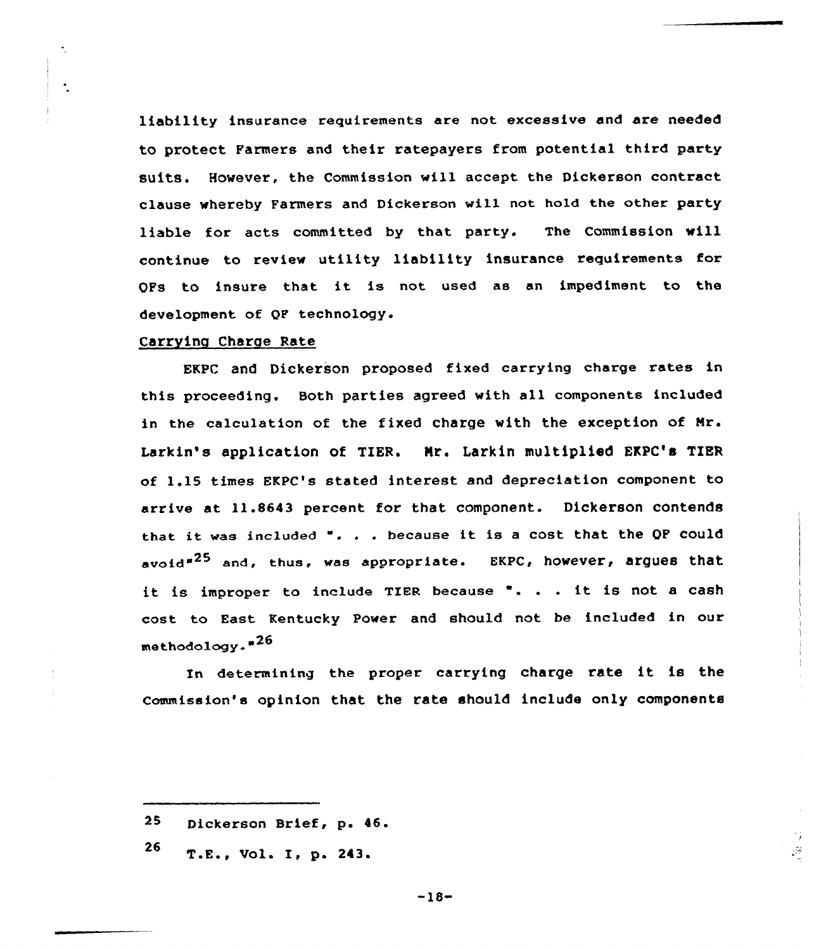liability insurance requirements are not excessive and are needed to protect Farmers and their ratepayers from potential third party suits. However, the Commission vill accept the Dickerson contract clause whereby Farmers and Dickerson vill not hold the other party liable for acts committed by that party. The Commission vill continue to review utility liability insurance requirements for QFs to insure that it is not used as an impediment to the development of QF technology.

## Carrying Charge Rate

 $\ddot{\phantom{0}}$ 

EKPC and Diekerson proposed fixed carrying charge rates in this proceeding. Both parties agreed with all components included in the calculation of the fixed charge with the exception of Mr. Larkin's application of TIER. Nr. Larkin multiplied EKPC'a TIER of 1.15 times EKPC's stated interest and depreciation component to arrive at 11.8643 percent for that component. Dickerson contends that it was included ". . . because it is <sup>a</sup> cost that the QF could avoid<sup>"25</sup> and, thus, was appropriate. EKPC, however, argues that it is improper to include TIER because  $\overline{\phantom{a}}$ ... it is not a cash cost to East Kentucky Power and should not be included in our methodology."<sup>26</sup>

In determining the proper carrying charge rate it is the Commission's opinion that the rate should include only components

 $26$  T.E., Vol. I, p. 243.

-18-

 $\mathcal{G}$ 

 $25$ Dickerson Brief, p. 46.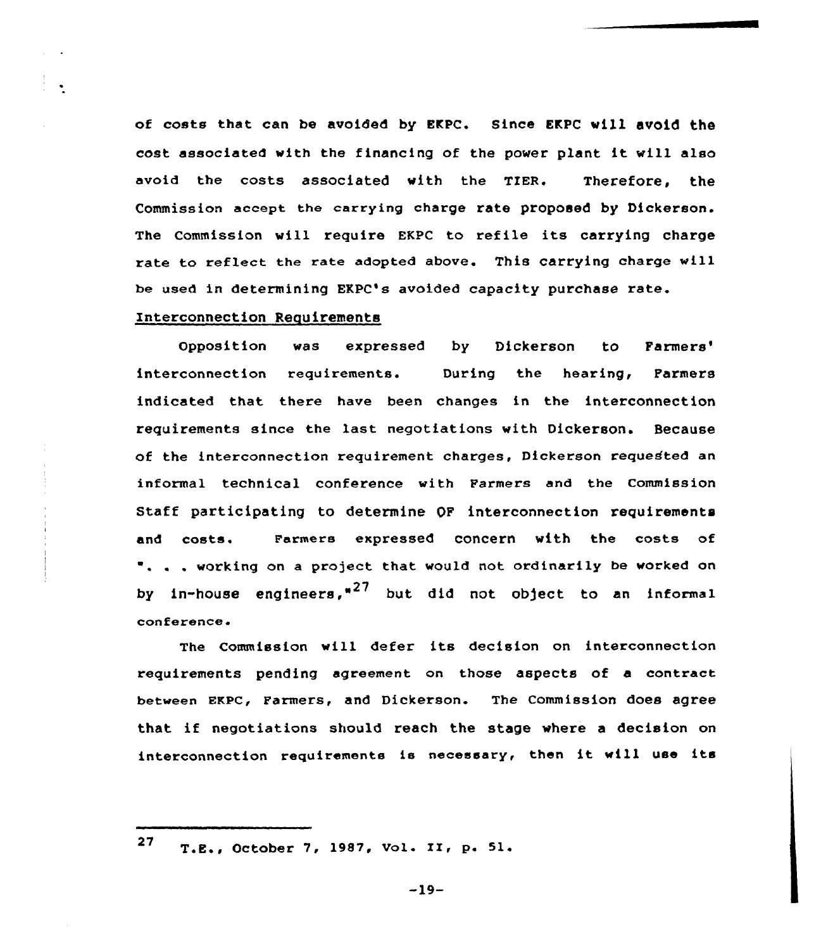of costs that can be avoided by EKPC. Since EKPC vill avoid the cost associated with the financing of the power plant it will also avoid the costs associated vith the TIER. Therefore, the Commission accept the carrying charge rate proposed by Dickerson. The Commission will require EKPC to refile its carrying charge rate to reflect the rate adopted above. This carrying charge vill be used in determining EXPC's avoided capacity purchase rate.

# Interconnection Requirements

Opposition was expressed by Dickerson to Farmers' interconnection requirements. During the hearing, Parmers indicated that there have been changes in the interconnection requirements since the last negotiations vith Dickerson. Because of the intexconnection requirement charges, Dickerson requested an informal technical conference with Farmers and the Commission Staff participating to determine OF interconnection requirements and costs. Farmers expressed concern vith the costs of ". . . working on a project that would not ordinarily be worked on by in-house engineers,<sup>"27</sup> but did not object to an informal conference

The Commission will defer its decision on interconnection requirements pending agreement on those aspects of a contract between EKPC, Farmers, and Dickerson. The Commission does agree that if negotiations should reach the stage vhere <sup>a</sup> decision on interconnection requirements is necessary, then it vill use its

<sup>27</sup> T.E., October 7, 1987, Vol. II, p. 51.

 $-19-$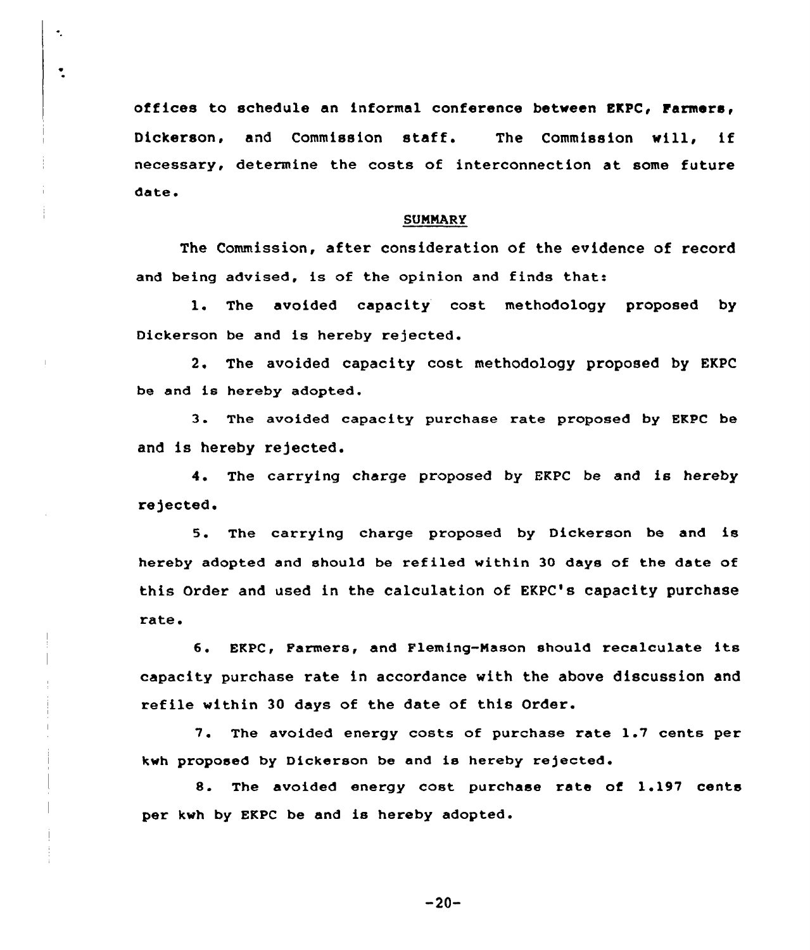offices to schedule an informal conference between EKPC< Farmers, Dickerson, and Commission staff. The Commission will, if necessary, determine the costs of interconnection at some future date.

 $\bullet$ 

 $\ddot{\cdot}$ 

#### SUNNARY

The Commission, after consideration of the evidence of record and being advised, is of the opinion and finds that:

l. The avoided capacity cost methodology proposed by Dickerson be and is hereby rejected.

2, The avoided capacity cost methodology proposed by EKPC be and is hereby adopted.

3. The avoided capacity purchase rate proposed by EKPC be and is hereby rejected.

4. The carrying charge proposed by EKPC be and is hereby rejected.

5. The carrying charge proposed by Dickerson be and is hereby adopted and should be refiled within 30 days of the date of this Order and used in the calculation of EKPC's capacity purchase rate.

6. EKPC, Parmers, and Fleming-Mason should recalculate its capacity purchase rate in accordance with the above discussion and refile within 30 days of the date of this Order.

7. The avoided energy costs of purchase rate 1.7 cents per kwh proposed by Dickerson be and is hereby rejected.

8. The avoided energy cost purchase rate of 1.197 cents per kwh by EKPC be and is hereby adopted.

 $-20-$